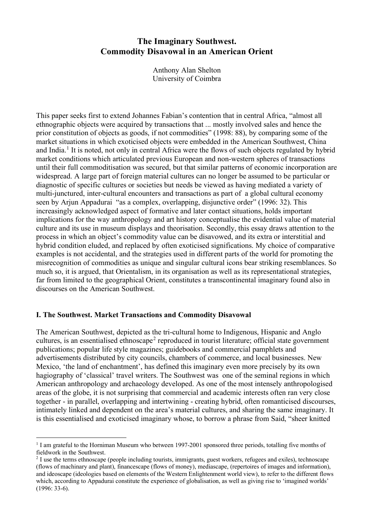# **The Imaginary Southwest. Commodity Disavowal in an American Orient**

Anthony Alan Shelton University of Coimbra

This paper seeks first to extend Johannes Fabian's contention that in central Africa, "almost all ethnographic objects were acquired by transactions that ... mostly involved sales and hence the prior constitution of objects as goods, if not commodities" (1998: 88), by comparing some of the market situations in which exoticised objects were embedded in the American Southwest, China and India.<sup>[1](#page-0-0)</sup> It is noted, not only in central Africa were the flows of such objects regulated by hybrid market conditions which articulated previous European and non-western spheres of transactions until their full commoditisation was secured, but that similar patterns of economic incorporation are widespread. A large part of foreign material cultures can no longer be assumed to be particular or diagnostic of specific cultures or societies but needs be viewed as having mediated a variety of multi-junctured, inter-cultural encounters and transactions as part of a global cultural economy seen by Arjun Appadurai "as a complex, overlapping, disjunctive order" (1996: 32). This increasingly acknowledged aspect of formative and later contact situations, holds important implications for the way anthropology and art history conceptualise the evidential value of material culture and its use in museum displays and theorisation. Secondly, this essay draws attention to the process in which an object's commodity value can be disavowed, and its extra or interstitial and hybrid condition eluded, and replaced by often exoticised significations. My choice of comparative examples is not accidental, and the strategies used in different parts of the world for promoting the misrecognition of commodities as unique and singular cultural icons bear striking resemblances. So much so, it is argued, that Orientalism, in its organisation as well as its representational strategies, far from limited to the geographical Orient, constitutes a transcontinental imaginary found also in discourses on the American Southwest.

## **I. The Southwest. Market Transactions and Commodity Disavowal**

The American Southwest, depicted as the tri-cultural home to Indigenous, Hispanic and Anglo cultures, is an essentialised ethnoscape<sup>[2](#page-0-1)</sup> reproduced in tourist literature; official state government publications; popular life style magazines; guidebooks and commercial pamphlets and advertisements distributed by city councils, chambers of commerce, and local businesses. New Mexico, 'the land of enchantment', has defined this imaginary even more precisely by its own hagiography of 'classical' travel writers. The Southwest was one of the seminal regions in which American anthropology and archaeology developed. As one of the most intensely anthropologised areas of the globe, it is not surprising that commercial and academic interests often ran very close together - in parallel, overlapping and intertwining - creating hybrid, often romanticised discourses, intimately linked and dependent on the area's material cultures, and sharing the same imaginary. It is this essentialised and exoticised imaginary whose, to borrow a phrase from Said, "sheer knitted

<span id="page-0-0"></span><sup>&</sup>lt;sup>1</sup> I am grateful to the Horniman Museum who between 1997-2001 sponsored three periods, totalling five months of fieldwork in the Southwest.

<span id="page-0-1"></span><sup>&</sup>lt;sup>2</sup> I use the terms ethnoscape (people including tourists, immigrants, guest workers, refugees and exiles), technoscape (flows of machinary and plant), financescape (flows of money), mediascape, (repertoires of images and information), and ideoscape (ideologies based on elements of the Western Enlightenment world view), to refer to the different flows which, according to Appadurai constitute the experience of globalisation, as well as giving rise to 'imagined worlds' (1996: 33-6).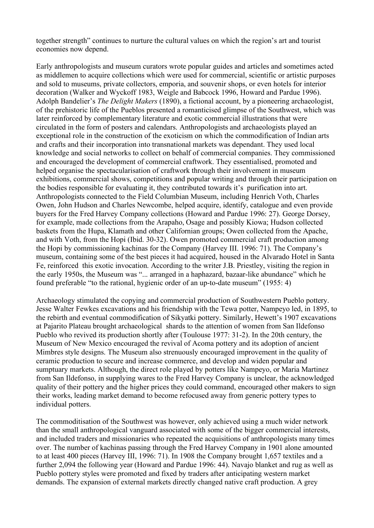together strength" continues to nurture the cultural values on which the region's art and tourist economies now depend.

Early anthropologists and museum curators wrote popular guides and articles and sometimes acted as middlemen to acquire collections which were used for commercial, scientific or artistic purposes and sold to museums, private collectors, emporia, and souvenir shops, or even hotels for interior decoration (Walker and Wyckoff 1983, Weigle and Babcock 1996, Howard and Pardue 1996). Adolph Bandelier's *The Delight Makers* (1890), a fictional account, by a pioneering archaeologist, of the prehistoric life of the Pueblos presented a romanticised glimpse of the Southwest, which was later reinforced by complementary literature and exotic commercial illustrations that were circulated in the form of posters and calendars. Anthropologists and archaeologists played an exceptional role in the construction of the exoticism on which the commodification of Indian arts and crafts and their incorporation into transnational markets was dependant. They used local knowledge and social networks to collect on behalf of commercial companies. They commissioned and encouraged the development of commercial craftwork. They essentialised, promoted and helped organise the spectacularisation of craftwork through their involvement in museum exhibitions, commercial shows, competitions and popular writing and through their participation on the bodies responsible for evaluating it, they contributed towards it's purification into art. Anthropologists connected to the Field Columbian Museum, including Henrich Voth, Charles Owen, John Hudson and Charles Newcombe, helped acquire, identify, catalogue and even provide buyers for the Fred Harvey Company collections (Howard and Pardue 1996: 27). George Dorsey, for example, made collections from the Arapaho, Osage and possibly Kiowa; Hudson collected baskets from the Hupa, Klamath and other Californian groups; Owen collected from the Apache, and with Voth, from the Hopi (Ibid. 30-32). Owen promoted commercial craft production among the Hopi by commissioning kachinas for the Company (Harvey III. 1996: 71). The Company's museum, containing some of the best pieces it had acquired, housed in the Alvarado Hotel in Santa Fe, reinforced this exotic invocation. According to the writer J.B. Priestley, visiting the region in the early 1950s, the Museum was "... arranged in a haphazard, bazaar-like abundance" which he found preferable "to the rational, hygienic order of an up-to-date museum" (1955: 4)

Archaeology stimulated the copying and commercial production of Southwestern Pueblo pottery. Jesse Walter Fewkes excavations and his friendship with the Tewa potter, Nampeyo led, in 1895, to the rebirth and eventual commodification of Sikyatki pottery. Similarly, Hewett's 1907 excavations at Pajarito Plateau brought archaeological shards to the attention of women from San Ildefonso Pueblo who revived its production shortly after (Toulouse 1977: 31-2). In the 20th century, the Museum of New Mexico encouraged the revival of Acoma pottery and its adoption of ancient Mimbres style designs. The Museum also strenuously encouraged improvement in the quality of ceramic production to secure and increase commerce, and develop and widen popular and sumptuary markets. Although, the direct role played by potters like Nampeyo, or Maria Martinez from San Ildefonso, in supplying wares to the Fred Harvey Company is unclear, the acknowledged quality of their pottery and the higher prices they could command, encouraged other makers to sign their works, leading market demand to become refocused away from generic pottery types to individual potters.

The commoditisation of the Southwest was however, only achieved using a much wider network than the small anthropological vanguard associated with some of the bigger commercial interests, and included traders and missionaries who repeated the acquisitions of anthropologists many times over. The number of kachinas passing through the Fred Harvey Company in 1901 alone amounted to at least 400 pieces (Harvey III, 1996: 71). In 1908 the Company brought 1,657 textiles and a further 2,094 the following year (Howard and Pardue 1996: 44). Navajo blanket and rug as well as Pueblo pottery styles were promoted and fixed by traders after anticipating western market demands. The expansion of external markets directly changed native craft production. A grey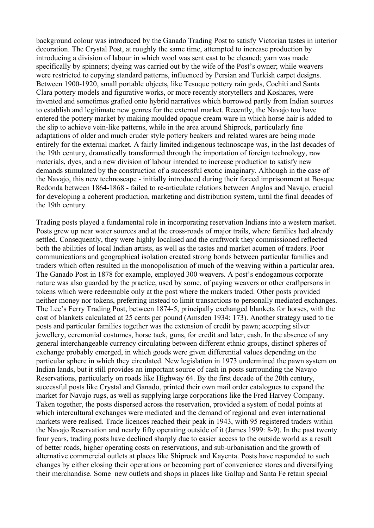background colour was introduced by the Ganado Trading Post to satisfy Victorian tastes in interior decoration. The Crystal Post, at roughly the same time, attempted to increase production by introducing a division of labour in which wool was sent east to be cleaned; yarn was made specifically by spinners; dyeing was carried out by the wife of the Post's owner; while weavers were restricted to copying standard patterns, influenced by Persian and Turkish carpet designs. Between 1900-1920, small portable objects, like Tesuque pottery rain gods, Cochiti and Santa Clara pottery models and figurative works, or more recently storytellers and Koshares, were invented and sometimes grafted onto hybrid narratives which borrowed partly from Indian sources to establish and legitimate new genres for the external market. Recently, the Navajo too have entered the pottery market by making moulded opaque cream ware in which horse hair is added to the slip to achieve vein-like patterns, while in the area around Shiprock, particularly fine adaptations of older and much cruder style pottery beakers and related wares are being made entirely for the external market. A fairly limited indigenous technoscape was, in the last decades of the 19th century, dramatically transformed through the importation of foreign technology, raw materials, dyes, and a new division of labour intended to increase production to satisfy new demands stimulated by the construction of a successful exotic imaginary. Although in the case of the Navajo, this new technoscape - initially introduced during their forced imprisonment at Bosque Redonda between 1864-1868 - failed to re-articulate relations between Anglos and Navajo, crucial for developing a coherent production, marketing and distribution system, until the final decades of the 19th century.

Trading posts played a fundamental role in incorporating reservation Indians into a western market. Posts grew up near water sources and at the cross-roads of major trails, where families had already settled. Consequently, they were highly localised and the craftwork they commissioned reflected both the abilities of local Indian artists, as well as the tastes and market acumen of traders. Poor communications and geographical isolation created strong bonds between particular families and traders which often resulted in the monopolisation of much of the weaving within a particular area. The Ganado Post in 1878 for example, employed 300 weavers. A post's endogamous corporate nature was also guarded by the practice, used by some, of paying weavers or other craftpersons in tokens which were redeemable only at the post where the makers traded. Other posts provided neither money nor tokens, preferring instead to limit transactions to personally mediated exchanges. The Lee's Ferry Trading Post, between 1874-5, principally exchanged blankets for horses, with the cost of blankets calculated at 25 cents per pound (Amsden 1934: 173). Another strategy used to tie posts and particular families together was the extension of credit by pawn; accepting silver jewellery, ceremonial costumes, horse tack, guns, for credit and later, cash. In the absence of any general interchangeable currency circulating between different ethnic groups, distinct spheres of exchange probably emerged, in which goods were given differential values depending on the particular sphere in which they circulated. New legislation in 1973 undermined the pawn system on Indian lands, but it still provides an important source of cash in posts surrounding the Navajo Reservations, particularly on roads like Highway 64. By the first decade of the 20th century, successful posts like Crystal and Ganado, printed their own mail order catalogues to expand the market for Navajo rugs, as well as supplying large corporations like the Fred Harvey Company. Taken together, the posts dispersed across the reservation, provided a system of nodal points at which intercultural exchanges were mediated and the demand of regional and even international markets were realised. Trade licences reached their peak in 1943, with 95 registered traders within the Navajo Reservation and nearly fifty operating outside of it (James 1999: 8-9). In the past twenty four years, trading posts have declined sharply due to easier access to the outside world as a result of better roads, higher operating costs on reservations, and sub-urbanisation and the growth of alternative commercial outlets at places like Shiprock and Kayenta. Posts have responded to such changes by either closing their operations or becoming part of convenience stores and diversifying their merchandise. Some new outlets and shops in places like Gallup and Santa Fe retain special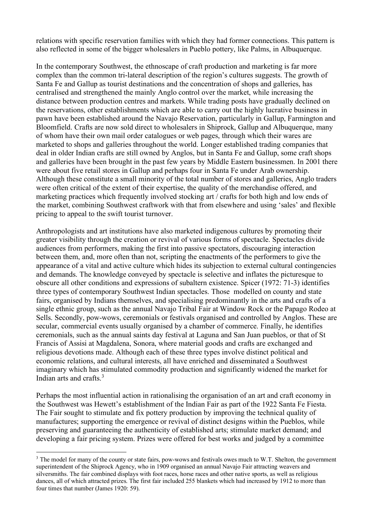relations with specific reservation families with which they had former connections. This pattern is also reflected in some of the bigger wholesalers in Pueblo pottery, like Palms, in Albuquerque.

In the contemporary Southwest, the ethnoscape of craft production and marketing is far more complex than the common tri-lateral description of the region's cultures suggests. The growth of Santa Fe and Gallup as tourist destinations and the concentration of shops and galleries, has centralised and strengthened the mainly Anglo control over the market, while increasing the distance between production centres and markets. While trading posts have gradually declined on the reservations, other establishments which are able to carry out the highly lucrative business in pawn have been established around the Navajo Reservation, particularly in Gallup, Farmington and Bloomfield. Crafts are now sold direct to wholesalers in Shiprock, Gallup and Albuquerque, many of whom have their own mail order catalogues or web pages, through which their wares are marketed to shops and galleries throughout the world. Longer established trading companies that deal in older Indian crafts are still owned by Anglos, but in Santa Fe and Gallup, some craft shops and galleries have been brought in the past few years by Middle Eastern businessmen. In 2001 there were about five retail stores in Gallup and perhaps four in Santa Fe under Arab ownership. Although these constitute a small minority of the total number of stores and galleries, Anglo traders were often critical of the extent of their expertise, the quality of the merchandise offered, and marketing practices which frequently involved stocking art / crafts for both high and low ends of the market, combining Southwest craftwork with that from elsewhere and using 'sales' and flexible pricing to appeal to the swift tourist turnover.

Anthropologists and art institutions have also marketed indigenous cultures by promoting their greater visibility through the creation or revival of various forms of spectacle. Spectacles divide audiences from performers, making the first into passive spectators, discouraging interaction between them, and, more often than not, scripting the enactments of the performers to give the appearance of a vital and active culture which hides its subjection to external cultural contingencies and demands. The knowledge conveyed by spectacle is selective and inflates the picturesque to obscure all other conditions and expressions of subaltern existence. Spicer (1972: 71-3) identifies three types of contemporary Southwest Indian spectacles. Those modelled on county and state fairs, organised by Indians themselves, and specialising predominantly in the arts and crafts of a single ethnic group, such as the annual Navajo Tribal Fair at Window Rock or the Papago Rodeo at Sells. Secondly, pow-wows, ceremonials or festivals organised and controlled by Anglos. These are secular, commercial events usually organised by a chamber of commerce. Finally, he identifies ceremonials, such as the annual saints day festival at Laguna and San Juan pueblos, or that of St Francis of Assisi at Magdalena, Sonora, where material goods and crafts are exchanged and religious devotions made. Although each of these three types involve distinct political and economic relations, and cultural interests, all have enriched and disseminated a Southwest imaginary which has stimulated commodity production and significantly widened the market for Indian arts and crafts.<sup>[3](#page-3-0)</sup>

Perhaps the most influential action in rationalising the organisation of an art and craft economy in the Southwest was Hewett's establishment of the Indian Fair as part of the 1922 Santa Fe Fiesta. The Fair sought to stimulate and fix pottery production by improving the technical quality of manufactures; supporting the emergence or revival of distinct designs within the Pueblos, while preserving and guaranteeing the authenticity of established arts; stimulate market demand; and developing a fair pricing system. Prizes were offered for best works and judged by a committee

<span id="page-3-0"></span><sup>&</sup>lt;sup>3</sup> The model for many of the county or state fairs, pow-wows and festivals owes much to W.T. Shelton, the government superintendent of the Shiprock Agency, who in 1909 organised an annual Navajo Fair attracting weavers and silversmiths. The fair combined displays with foot races, horse races and other native sports, as well as religious dances, all of which attracted prizes. The first fair included 255 blankets which had increased by 1912 to more than four times that number (James 1920: 59).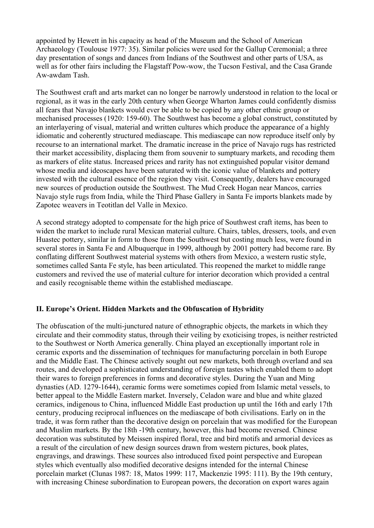appointed by Hewett in his capacity as head of the Museum and the School of American Archaeology (Toulouse 1977: 35). Similar policies were used for the Gallup Ceremonial; a three day presentation of songs and dances from Indians of the Southwest and other parts of USA, as well as for other fairs including the Flagstaff Pow-wow, the Tucson Festival, and the Casa Grande Aw-awdam Tash.

The Southwest craft and arts market can no longer be narrowly understood in relation to the local or regional, as it was in the early 20th century when George Wharton James could confidently dismiss all fears that Navajo blankets would ever be able to be copied by any other ethnic group or mechanised processes (1920: 159-60). The Southwest has become a global construct, constituted by an interlayering of visual, material and written cultures which produce the appearance of a highly idiomatic and coherently structured mediascape. This mediascape can now reproduce itself only by recourse to an international market. The dramatic increase in the price of Navajo rugs has restricted their market accessibility, displacing them from souvenir to sumptuary markets, and recoding them as markers of elite status. Increased prices and rarity has not extinguished popular visitor demand whose media and ideoscapes have been saturated with the iconic value of blankets and pottery invested with the cultural essence of the region they visit. Consequently, dealers have encouraged new sources of production outside the Southwest. The Mud Creek Hogan near Mancos, carries Navajo style rugs from India, while the Third Phase Gallery in Santa Fe imports blankets made by Zapotec weavers in Teotitlan del Valle in Mexico.

A second strategy adopted to compensate for the high price of Southwest craft items, has been to widen the market to include rural Mexican material culture. Chairs, tables, dressers, tools, and even Huastec pottery, similar in form to those from the Southwest but costing much less, were found in several stores in Santa Fe and Albuquerque in 1999, although by 2001 pottery had become rare. By conflating different Southwest material systems with others from Mexico, a western rustic style, sometimes called Santa Fe style, has been articulated. This reopened the market to middle range customers and revived the use of material culture for interior decoration which provided a central and easily recognisable theme within the established mediascape.

#### **II. Europe's Orient. Hidden Markets and the Obfuscation of Hybridity**

The obfuscation of the multi-junctured nature of ethnographic objects, the markets in which they circulate and their commodity status, through their veiling by exoticising tropes, is neither restricted to the Southwest or North America generally. China played an exceptionally important role in ceramic exports and the dissemination of techniques for manufacturing porcelain in both Europe and the Middle East. The Chinese actively sought out new markets, both through overland and sea routes, and developed a sophisticated understanding of foreign tastes which enabled them to adopt their wares to foreign preferences in forms and decorative styles. During the Yuan and Ming dynasties (AD. 1279-1644), ceramic forms were sometimes copied from Islamic metal vessels, to better appeal to the Middle Eastern market. Inversely, Celadon ware and blue and white glazed ceramics, indigenous to China, influenced Middle East production up until the 16th and early 17th century, producing reciprocal influences on the mediascape of both civilisations. Early on in the trade, it was form rather than the decorative design on porcelain that was modified for the European and Muslim markets. By the 18th -19th century, however, this had become reversed. Chinese decoration was substituted by Meissen inspired floral, tree and bird motifs and armorial devices as a result of the circulation of new design sources drawn from western pictures, book plates, engravings, and drawings. These sources also introduced fixed point perspective and European styles which eventually also modified decorative designs intended for the internal Chinese porcelain market (Clunas 1987: 18, Matos 1999: 117, Mackenzie 1995: 111). By the 19th century, with increasing Chinese subordination to European powers, the decoration on export wares again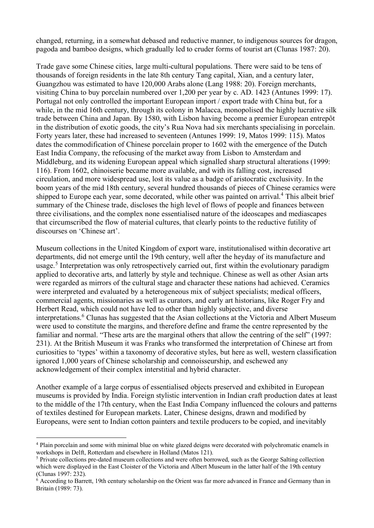changed, returning, in a somewhat debased and reductive manner, to indigenous sources for dragon, pagoda and bamboo designs, which gradually led to cruder forms of tourist art (Clunas 1987: 20).

Trade gave some Chinese cities, large multi-cultural populations. There were said to be tens of thousands of foreign residents in the late 8th century Tang capital, Xian, and a century later, Guangzhou was estimated to have 120,000 Arabs alone (Lang 1988: 20). Foreign merchants, visiting China to buy porcelain numbered over 1,200 per year by c. AD. 1423 (Antunes 1999: 17). Portugal not only controlled the important European import / export trade with China but, for a while, in the mid 16th century, through its colony in Malacca, monopolised the highly lucrative silk trade between China and Japan. By 1580, with Lisbon having become a premier European entrepôt in the distribution of exotic goods, the city's Rua Nova had six merchants specialising in porcelain. Forty years later, these had increased to seventeen (Antunes 1999: 19, Matos 1999: 115). Matos dates the commodification of Chinese porcelain proper to 1602 with the emergence of the Dutch East India Company, the refocusing of the market away from Lisbon to Amsterdam and Middleburg, and its widening European appeal which signalled sharp structural alterations (1999: 116). From 1602, chinoiserie became more available, and with its falling cost, increased circulation, and more widespread use, lost its value as a badge of aristocratic exclusivity. In the boom years of the mid 18th century, several hundred thousands of pieces of Chinese ceramics were shipped to Europe each year, some decorated, while other was painted on arrival.<sup>[4](#page-5-0)</sup> This albeit brief summary of the Chinese trade, discloses the high level of flows of people and finances between three civilisations, and the complex none essentialised nature of the ideoscapes and mediascapes that circumscribed the flow of material cultures, that clearly points to the reductive futility of discourses on 'Chinese art'.

Museum collections in the United Kingdom of export ware, institutionalised within decorative art departments, did not emerge until the 19th century, well after the heyday of its manufacture and usage.<sup>[5](#page-5-1)</sup> Interpretation was only retrospectively carried out, first within the evolutionary paradigm applied to decorative arts, and latterly by style and technique. Chinese as well as other Asian arts were regarded as mirrors of the cultural stage and character these nations had achieved. Ceramics were interpreted and evaluated by a heterogeneous mix of subject specialists; medical officers, commercial agents, missionaries as well as curators, and early art historians, like Roger Fry and Herbert Read, which could not have led to other than highly subjective, and diverse interpretations.<sup>[6](#page-5-2)</sup> Clunas has suggested that the Asian collections at the Victoria and Albert Museum were used to constitute the margins, and therefore define and frame the centre represented by the familiar and normal. "These arts are the marginal others that allow the centring of the self" (1997: 231). At the British Museum it was Franks who transformed the interpretation of Chinese art from curiosities to 'types' within a taxonomy of decorative styles, but here as well, western classification ignored 1,000 years of Chinese scholarship and connoisseurship, and eschewed any acknowledgement of their complex interstitial and hybrid character.

Another example of a large corpus of essentialised objects preserved and exhibited in European museums is provided by India. Foreign stylistic intervention in Indian craft production dates at least to the middle of the 17th century, when the East India Company influenced the colours and patterns of textiles destined for European markets. Later, Chinese designs, drawn and modified by Europeans, were sent to Indian cotton painters and textile producers to be copied, and inevitably

<span id="page-5-0"></span><sup>4</sup> Plain porcelain and some with minimal blue on white glazed deigns were decorated with polychromatic enamels in workshops in Delft, Rotterdam and elsewhere in Holland (Matos 121).

<span id="page-5-1"></span><sup>&</sup>lt;sup>5</sup> Private collections pre-dated museum collections and were often borrowed, such as the George Salting collection which were displayed in the East Cloister of the Victoria and Albert Museum in the latter half of the 19th century (Clunas 1997: 232).

<span id="page-5-2"></span><sup>6</sup> According to Barrett, 19th century scholarship on the Orient was far more advanced in France and Germany than in Britain (1989: 73).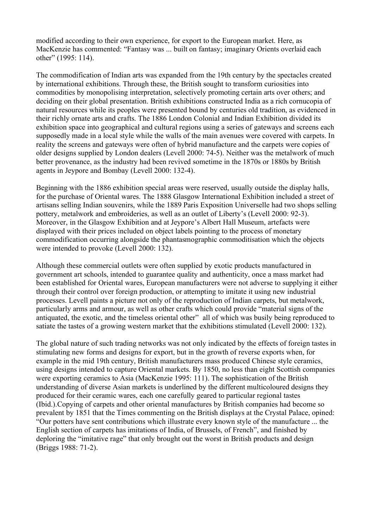modified according to their own experience, for export to the European market. Here, as MacKenzie has commented: "Fantasy was ... built on fantasy; imaginary Orients overlaid each other" (1995: 114).

The commodification of Indian arts was expanded from the 19th century by the spectacles created by international exhibitions. Through these, the British sought to transform curiosities into commodities by monopolising interpretation, selectively promoting certain arts over others; and deciding on their global presentation. British exhibitions constructed India as a rich cornucopia of natural resources while its peoples were presented bound by centuries old tradition, as evidenced in their richly ornate arts and crafts. The 1886 London Colonial and Indian Exhibition divided its exhibition space into geographical and cultural regions using a series of gateways and screens each supposedly made in a local style while the walls of the main avenues were covered with carpets. In reality the screens and gateways were often of hybrid manufacture and the carpets were copies of older designs supplied by London dealers (Levell 2000: 74-5). Neither was the metalwork of much better provenance, as the industry had been revived sometime in the 1870s or 1880s by British agents in Jeypore and Bombay (Levell 2000: 132-4).

Beginning with the 1886 exhibition special areas were reserved, usually outside the display halls, for the purchase of Oriental wares. The 1888 Glasgow International Exhibition included a street of artisans selling Indian souvenirs, while the 1889 Paris Exposition Universelle had two shops selling pottery, metalwork and embroideries, as well as an outlet of Liberty's (Levell 2000: 92-3). Moreover, in the Glasgow Exhibition and at Jeypore's Albert Hall Museum, artefacts were displayed with their prices included on object labels pointing to the process of monetary commodification occurring alongside the phantasmographic commoditisation which the objects were intended to provoke (Levell 2000: 132).

Although these commercial outlets were often supplied by exotic products manufactured in government art schools, intended to guarantee quality and authenticity, once a mass market had been established for Oriental wares, European manufacturers were not adverse to supplying it either through their control over foreign production, or attempting to imitate it using new industrial processes. Levell paints a picture not only of the reproduction of Indian carpets, but metalwork, particularly arms and armour, as well as other crafts which could provide "material signs of the antiquated, the exotic, and the timeless oriental other" all of which was busily being reproduced to satiate the tastes of a growing western market that the exhibitions stimulated (Levell 2000: 132).

The global nature of such trading networks was not only indicated by the effects of foreign tastes in stimulating new forms and designs for export, but in the growth of reverse exports when, for example in the mid 19th century, British manufacturers mass produced Chinese style ceramics, using designs intended to capture Oriental markets. By 1850, no less than eight Scottish companies were exporting ceramics to Asia (MacKenzie 1995: 111). The sophistication of the British understanding of diverse Asian markets is underlined by the different multicoloured designs they produced for their ceramic wares, each one carefully geared to particular regional tastes (Ibid.).Copying of carpets and other oriental manufactures by British companies had become so prevalent by 1851 that the Times commenting on the British displays at the Crystal Palace, opined: "Our potters have sent contributions which illustrate every known style of the manufacture ... the English section of carpets has imitations of India, of Brussels, of French", and finished by deploring the "imitative rage" that only brought out the worst in British products and design (Briggs 1988: 71-2).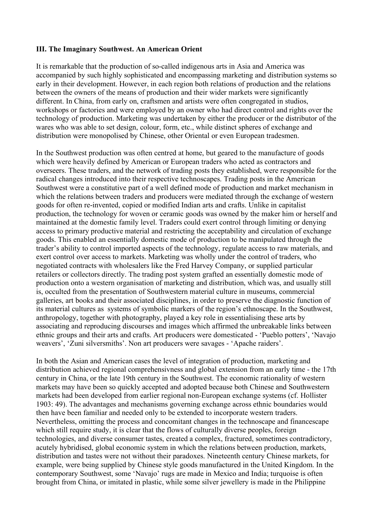#### **III. The Imaginary Southwest. An American Orient**

It is remarkable that the production of so-called indigenous arts in Asia and America was accompanied by such highly sophisticated and encompassing marketing and distribution systems so early in their development. However, in each region both relations of production and the relations between the owners of the means of production and their wider markets were significantly different. In China, from early on, craftsmen and artists were often congregated in studios, workshops or factories and were employed by an owner who had direct control and rights over the technology of production. Marketing was undertaken by either the producer or the distributor of the wares who was able to set design, colour, form, etc., while distinct spheres of exchange and distribution were monopolised by Chinese, other Oriental or even European tradesmen.

In the Southwest production was often centred at home, but geared to the manufacture of goods which were heavily defined by American or European traders who acted as contractors and overseers. These traders, and the network of trading posts they established, were responsible for the radical changes introduced into their respective technoscapes. Trading posts in the American Southwest were a constitutive part of a well defined mode of production and market mechanism in which the relations between traders and producers were mediated through the exchange of western goods for often re-invented, copied or modified Indian arts and crafts. Unlike in capitalist production, the technology for woven or ceramic goods was owned by the maker him or herself and maintained at the domestic family level. Traders could exert control through limiting or denying access to primary productive material and restricting the acceptability and circulation of exchange goods. This enabled an essentially domestic mode of production to be manipulated through the trader's ability to control imported aspects of the technology, regulate access to raw materials, and exert control over access to markets. Marketing was wholly under the control of traders, who negotiated contracts with wholesalers like the Fred Harvey Company, or supplied particular retailers or collectors directly. The trading post system grafted an essentially domestic mode of production onto a western organisation of marketing and distribution, which was, and usually still is, occulted from the presentation of Southwestern material culture in museums, commercial galleries, art books and their associated disciplines, in order to preserve the diagnostic function of its material cultures as systems of symbolic markers of the region's ethnoscape. In the Southwest, anthropology, together with photography, played a key role in essentialising these arts by associating and reproducing discourses and images which affirmed the unbreakable links between ethnic groups and their arts and crafts. Art producers were domesticated - 'Pueblo potters', 'Navajo weavers', 'Zuni silversmiths'. Non art producers were savages - 'Apache raiders'.

In both the Asian and American cases the level of integration of production, marketing and distribution achieved regional comprehensivness and global extension from an early time - the 17th century in China, or the late 19th century in the Southwest. The economic rationality of western markets may have been so quickly accepted and adopted because both Chinese and Southwestern markets had been developed from earlier regional non-European exchange systems (cf. Hollister 1903: 49). The advantages and mechanisms governing exchange across ethnic boundaries would then have been familiar and needed only to be extended to incorporate western traders. Nevertheless, omitting the process and concomitant changes in the technoscape and financescape which still require study, it is clear that the flows of culturally diverse peoples, foreign technologies, and diverse consumer tastes, created a complex, fractured, sometimes contradictory, acutely hybridised, global economic system in which the relations between production, markets, distribution and tastes were not without their paradoxes. Nineteenth century Chinese markets, for example, were being supplied by Chinese style goods manufactured in the United Kingdom. In the contemporary Southwest, some 'Navajo' rugs are made in Mexico and India; turquoise is often brought from China, or imitated in plastic, while some silver jewellery is made in the Philippine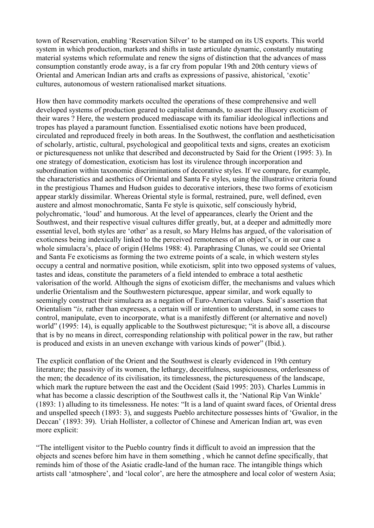town of Reservation, enabling 'Reservation Silver' to be stamped on its US exports. This world system in which production, markets and shifts in taste articulate dynamic, constantly mutating material systems which reformulate and renew the signs of distinction that the advances of mass consumption constantly erode away, is a far cry from popular 19th and 20th century views of Oriental and American Indian arts and crafts as expressions of passive, ahistorical, 'exotic' cultures, autonomous of western rationalised market situations.

How then have commodity markets occulted the operations of these comprehensive and well developed systems of production geared to capitalist demands, to assert the illusory exoticism of their wares ? Here, the western produced mediascape with its familiar ideological inflections and tropes has played a paramount function. Essentialised exotic notions have been produced, circulated and reproduced freely in both areas. In the Southwest, the conflation and aestheticisation of scholarly, artistic, cultural, psychological and geopolitical texts and signs, creates an exoticism or picturesqueness not unlike that described and deconstructed by Said for the Orient (1995: 3). In one strategy of domestication, exoticism has lost its virulence through incorporation and subordination within taxonomic discriminations of decorative styles. If we compare, for example, the characteristics and aesthetics of Oriental and Santa Fe styles, using the illustrative criteria found in the prestigious Thames and Hudson guides to decorative interiors, these two forms of exoticism appear starkly dissimilar. Whereas Oriental style is formal, restrained, pure, well defined, even austere and almost monochromatic, Santa Fe style is quixotic, self consciously hybrid, polychromatic, 'loud' and humorous. At the level of appearances, clearly the Orient and the Southwest, and their respective visual cultures differ greatly, but, at a deeper and admittedly more essential level, both styles are 'other' as a result, so Mary Helms has argued, of the valorisation of exoticness being indexically linked to the perceived remoteness of an object's, or in our case a whole simulacra's, place of origin (Helms 1988: 4). Paraphrasing Clunas, we could see Oriental and Santa Fe exoticisms as forming the two extreme points of a scale, in which western styles occupy a central and normative position, while exoticism, split into two opposed systems of values, tastes and ideas, constitute the parameters of a field intended to embrace a total aesthetic valorisation of the world. Although the signs of exoticism differ, the mechanisms and values which underlie Orientalism and the Southwestern picturesque, appear similar, and work equally to seemingly construct their simulacra as a negation of Euro-American values. Said's assertion that Orientalism "*is,* rather than expresses, a certain will or intention to understand, in some cases to control, manipulate, even to incorporate, what is a manifestly different (or alternative and novel) world" (1995: 14), is equally applicable to the Southwest picturesque; "it is above all, a discourse that is by no means in direct, corresponding relationship with political power in the raw, but rather is produced and exists in an uneven exchange with various kinds of power" (Ibid.).

The explicit conflation of the Orient and the Southwest is clearly evidenced in 19th century literature; the passivity of its women, the lethargy, deceitfulness, suspiciousness, orderlessness of the men; the decadence of its civilisation, its timelessness, the picturesqueness of the landscape, which mark the rupture between the east and the Occident (Said 1995: 203). Charles Lummis in what has become a classic description of the Southwest calls it, the 'National Rip Van Winkle' (1893: 1) alluding to its timelessness. He notes: "It is a land of quaint sward faces, of Oriental dress and unspelled speech (1893: 3), and suggests Pueblo architecture possesses hints of 'Gwalior, in the Deccan' (1893: 39). Uriah Hollister, a collector of Chinese and American Indian art, was even more explicit:

"The intelligent visitor to the Pueblo country finds it difficult to avoid an impression that the objects and scenes before him have in them something , which he cannot define specifically, that reminds him of those of the Asiatic cradle-land of the human race. The intangible things which artists call 'atmosphere', and 'local color', are here the atmosphere and local color of western Asia;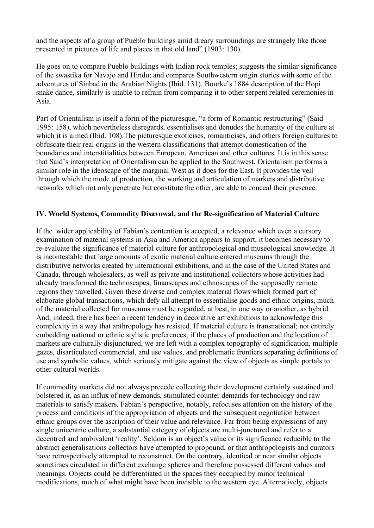and the aspects of a group of Pueblo buildings amid dreary surroundings are strangely like those presented in pictures of life and places in that old land" (1903: 130).

He goes on to compare Pueblo buildings with Indian rock temples; suggests the similar significance of the swastika for Navajo and Hindu; and compares Southwestern origin stories with some of the adventures of Sinbad in the Arabian Nights (Ibid. 131). Bourke's 1884 description of the Hopi snake dance, similarly is unable to refrain from comparing it to other serpent related ceremonies in Asia.

Part of Orientalism is itself a form of the picturesque, "a form of Romantic restructuring" (Said 1995: 158), which nevertheless disregards, essentialises and denudes the humanity of the culture at which it is aimed (Ibid. 108).The picturesque exoticises, romanticises, and others foreign cultures to obfuscate their real origins in the western classifications that attempt domestication of the boundaries and interstitialities between European, American and other cultures. It is in this sense that Said's interpretation of Orientalism can be applied to the Southwest. Orientalism performs a similar role in the ideoscape of the marginal West as it does for the East. It provides the veil through which the mode of production, the working and articulation of markets and distributive networks which not only penetrate but constitute the other, are able to conceal their presence.

### **IV. World Systems, Commodity Disavowal, and the Re-signification of Material Culture**

If the wider applicability of Fabian's contention is accepted, a relevance which even a cursory examination of material systems in Asia and America appears to support, it becomes necessary to re-evaluate the significance of material culture for anthropological and museological knowledge. It is incontestable that large amounts of exotic material culture entered museums through the distributive networks created by international exhibitions, and in the case of the United States and Canada, through wholesalers, as well as private and institutional collectors whose activities had already transformed the technoscapes, finanscapes and ethnoscapes of the supposedly remote regions they travelled. Given these diverse and complex material flows which formed part of elaborate global transactions, which defy all attempt to essentialise goods and ethnic origins, much of the material collected for museums must be regarded, at best, in one way or another, as hybrid. And, indeed, there has been a recent tendency in decorative art exhibitions to acknowledge this complexity in a way that anthropology has resisted. If material culture is transnational; not entirely embedding national or ethnic stylistic preferences; if the places of production and the location of markets are culturally disjunctured, we are left with a complex topography of signification, multiple gazes, disarticulated commercial, and use values, and problematic frontiers separating definitions of use and symbolic values, which seriously mitigate against the view of objects as simple portals to other cultural worlds.

If commodity markets did not always precede collecting their development certainly sustained and bolstered it, as an influx of new demands, stimulated counter demands for technology and raw materials to satisfy makers. Fabian's perspective, notably, refocuses attention on the history of the process and conditions of the appropriation of objects and the subsequent negotiation between ethnic groups over the ascription of their value and relevance. Far from being expressions of any single unicentric culture, a substantial category of objects are multi-junctured and refer to a decentred and ambivalent 'reality'. Seldom is an object's value or its significance reducible to the abstract generalisations collectors have attempted to propound, or that anthropologists and curators have retrospectively attempted to reconstruct. On the contrary, identical or near similar objects sometimes circulated in different exchange spheres and therefore possessed different values and meanings. Objects could be differentiated in the spaces they occupied by minor technical modifications, much of what might have been invisible to the western eye. Alternatively, objects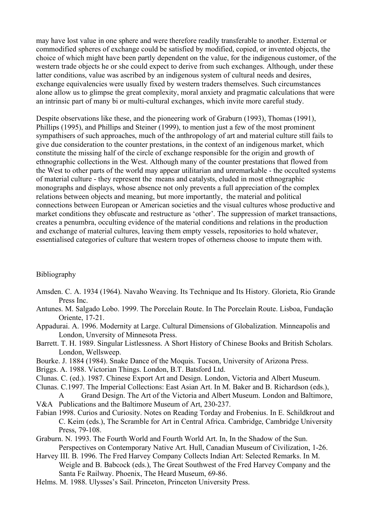may have lost value in one sphere and were therefore readily transferable to another. External or commodified spheres of exchange could be satisfied by modified, copied, or invented objects, the choice of which might have been partly dependent on the value, for the indigenous customer, of the western trade objects he or she could expect to derive from such exchanges. Although, under these latter conditions, value was ascribed by an indigenous system of cultural needs and desires, exchange equivalencies were usually fixed by western traders themselves. Such circumstances alone allow us to glimpse the great complexity, moral anxiety and pragmatic calculations that were an intrinsic part of many bi or multi-cultural exchanges, which invite more careful study.

Despite observations like these, and the pioneering work of Graburn (1993), Thomas (1991), Phillips (1995), and Phillips and Steiner (1999), to mention just a few of the most prominent sympathisers of such approaches, much of the anthropology of art and material culture still fails to give due consideration to the counter prestations, in the context of an indigenous market, which constitute the missing half of the circle of exchange responsible for the origin and growth of ethnographic collections in the West. Although many of the counter prestations that flowed from the West to other parts of the world may appear utilitarian and unremarkable - the occulted systems of material culture - they represent the means and catalysts, eluded in most ethnographic monographs and displays, whose absence not only prevents a full appreciation of the complex relations between objects and meaning, but more importantly, the material and political connections between European or American societies and the visual cultures whose productive and market conditions they obfuscate and restructure as 'other'. The suppression of market transactions, creates a penumbra, occulting evidence of the material conditions and relations in the production and exchange of material cultures, leaving them empty vessels, repositories to hold whatever, essentialised categories of culture that western tropes of otherness choose to impute them with.

#### Bibliography

- Amsden. C. A. 1934 (1964). Navaho Weaving. Its Technique and Its History. Glorieta, Rio Grande Press Inc.
- Antunes. M. Salgado Lobo. 1999. The Porcelain Route. In The Porcelain Route. Lisboa, Fundação Oriente, 17-21.
- Appadurai. A. 1996. Modernity at Large. Cultural Dimensions of Globalization. Minneapolis and London, Unversity of Minnesota Press.
- Barrett. T. H. 1989. Singular Listlessness. A Short History of Chinese Books and British Scholars. London, Wellsweep.
- Bourke. J. 1884 (1984). Snake Dance of the Moquis. Tucson, University of Arizona Press.
- Briggs. A. 1988. Victorian Things. London, B.T. Batsford Ltd.
- Clunas. C. (ed.). 1987. Chinese Export Art and Design. London, Victoria and Albert Museum.
- Clunas. C.1997. The Imperial Collections: East Asian Art. In M. Baker and B. Richardson (eds.), A Grand Design. The Art of the Victoria and Albert Museum. London and Baltimore,
- V&A Publications and the Baltimore Museum of Art, 230-237.
- Fabian 1998. Curios and Curiosity. Notes on Reading Torday and Frobenius. In E. Schildkrout and C. Keim (eds.), The Scramble for Art in Central Africa. Cambridge, Cambridge University Press, 79-108.
- Graburn. N. 1993. The Fourth World and Fourth World Art. In, In the Shadow of the Sun. Perspectives on Contemporary Native Art. Hull, Canadian Museum of Civilization, 1-26.
- Harvey III. B. 1996. The Fred Harvey Company Collects Indian Art: Selected Remarks. In M. Weigle and B. Babcock (eds.), The Great Southwest of the Fred Harvey Company and the Santa Fe Railway. Phoenix, The Heard Museum, 69-86.
- Helms. M. 1988. Ulysses's Sail. Princeton, Princeton University Press.